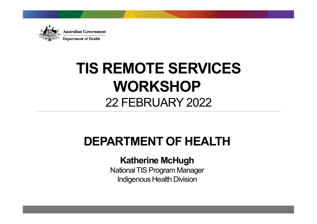

### TIS REMOTE SERVICES WORKSHOP REMOTE SERVICES<br>WORKSHOP<br>22 FEBRUARY 2022

### DEPARTMENT OF HEALTH

### Katherine McHugh

National TIS Program Manager Indigenous Health Division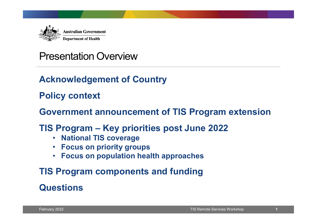

### Presentation Overview

### Acknowledgement of Country

### Policy context

## Government announcement of TIS Program extension The Maximum diversion<br>
Tresentation Overview<br>
Acknowledgement of Country<br>
Policy context<br>
Government announcement of TIS Program extension<br>
TIS Program – Key priorities post June 2022<br>
. National TIS coverage<br>
. Focus on p

# Government announcement or 11S Program extension<br>
TIS Program – Key priorities post June 2022<br>
• National TIS coverage<br>
• Focus on priority groups<br>
• Focus on population health approaches<br>
TIS Program components and fundi

- National TIS coverage
- Focus on priority groups
- Focus on population health approaches

### TIS Program components and funding

### **Questions**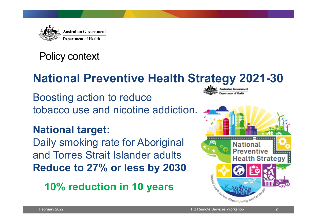

### Policy context

### National Preventive Health Strategy 2021-30

Boosting action to reduce tobacco use and nicotine addiction.

### National target:

Daily smoking rate for Aboriginal and Torres Strait Islander adults **Strait Assembly Preventive Band Torres Strait Islander adults** Reduce to 27% or less by 2030<br>10% reduction in 10 years

10% reduction in 10 years



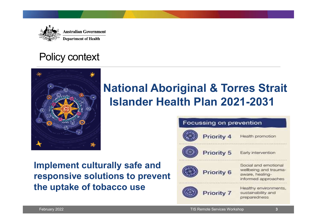

### Policy context



### National Aboriginal & Torres Strait Islander Health Plan 2021-2031

### Implement culturally safe and responsive solutions to prevent the uptake of tobacco use

|                                                                                            | Focussing on prevention      |                                                                                         |
|--------------------------------------------------------------------------------------------|------------------------------|-----------------------------------------------------------------------------------------|
|                                                                                            | Priority 4                   | Health promotion                                                                        |
|                                                                                            | Priority 5                   | Early intervention                                                                      |
| nplement culturally safe and<br>esponsive solutions to prevent<br>ne uptake of tobacco use | Priority 6                   | Social and emotional<br>wellbeing and trauma-<br>aware, healing-<br>informed approaches |
|                                                                                            | Priority 7                   | Healthy environments,<br>sustainability and<br>preparedness                             |
| February 2022                                                                              | TIS Remote Services Workshop | $\overline{\mathbf{3}}$                                                                 |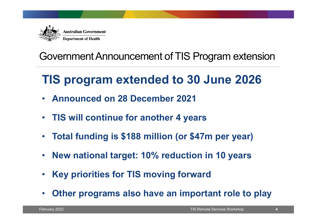

### Government Announcement of TIS Program extension

### TIS program extended to 30 June 2026

- Announced on 28 December 2021
- TIS will continue for another 4 years
- Total funding is \$188 million (or \$47m per year)
- New national target: 10% reduction in 10 years
- Key priorities for TIS moving forward
- Fig. 115 will continue for another 4 years<br>
Total funding is \$188 million (or \$47m per year)<br>
 New national target: 10% reduction in 10 years<br>
 Key priorities for TIS moving forward<br>
 Other programs also have an importa • Other programs also have an important role to play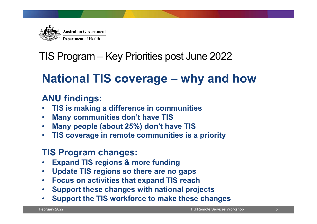

## TIS Program – Key Priorities post June 2022 Alter Australian Government<br>
IS Program – Key Priorities post June 2022<br>
National TIS coverage – why and how<br>
ANU findings:

### ANU findings:

- TIS is making a difference in communities
- Many communities don't have TIS
- Many people (about 25%) don't have TIS
- TIS coverage in remote communities is a priority

### TIS Program changes:

- **Expand TIS regions & more funding**
- Update TIS regions so there are no gaps
- Focus on activities that expand TIS reach
- Support these changes with national projects
- February 2022<br>February 2022<br>February 2022<br>February 2022<br>February 2022<br>February 2022<br>February 2022<br>February 2022<br>February 2022<br>February 2022<br>February 2022<br>February 2022<br>February 2022<br>February 2022<br>February 2022<br>February 202 • Support the TIS workforce to make these changes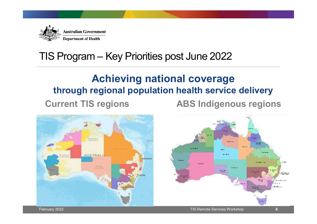

# Alex Australian Government<br>TIS Program – Key Priorities post June 2022<br>**Achieving national coverage**

### Achieving national coverage through regional population health service delivery

Current TIS regions ABS Indigenous regions

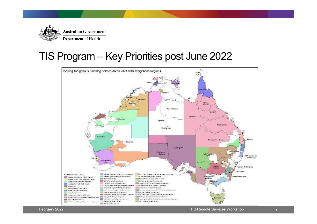

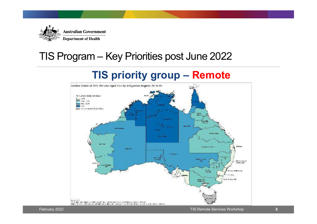

# Alex Australian Covernment<br>TIS Program – Key Priorities post June 2022<br>TIS priority group – Remote

### TIS priority group – Remote

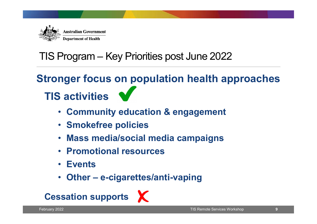

### TIS Program – Key Priorities post June 2022 TIS activities Australian Government<br>
Program — Key Priorities post June 2022<br>
nger focus on population health app<br>
Sactivities<br>
• Community education & engagement<br>
• Smokefree policies<br>
• Mass media/social media campaigns<br>
• Promotional • Community education & engagement<br>• Community education & engagement<br>• Smokefree policies<br>• Mass media/social media campaigns<br>• Promotional resources<br>• Events<br>• Other – e-cigarettes/anti-vaping<br>ssation supports  $\times$ Stronger focus on population health approaches

- Community education & engagement
- 
- February 2022<br>
February 2022<br>
February 2022<br>
February 2022<br>
February 2022<br>
February 2022<br>
February 2022<br>
February 2022<br>
February 2022<br>
February 2022<br>
February 2022<br>
February 2022 • Mass media/social media campaigns
	- Promotional resources
	- Events
	-



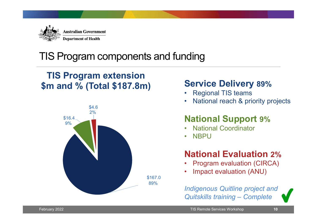

### TIS Program components and funding

### TIS Program extension<br>m and % (Total \$187 8m) Service Delivery 89% \$m and % (Total \$187.8m) Service Delivery<br>Regional TIS teams



# Partice Delivery 89%<br>• Regional TIS teams<br>• National reach & priority projects<br>• National Support 8%

- 
- 

### • National reach & priority projects National Support 9% **Service Delivery 89%<br>• Regional TIS teams<br>• National reach & priority projects<br><b>National Support 9%**<br>• National Coordinator<br>• NBPU

- 
- 

### **Service Delivery 89%<br>
• Regional TIS teams<br>
• National reach & priority projects<br>
National Support 9%<br>
• National Coordinator<br>
• NBPU<br>
National Evaluation 2%** National Evaluation 2% Service Delivery 89%<br>
• Regional TIS teams<br>
• National reach & priority projects<br> **National Support 9%**<br>
• National Coordinator<br>
• NBPU<br> **National Evaluation 2%**<br>
• Program evaluation (CIRCA)<br>
• Impact evaluation (ANU)

- 
- 

89% Service Delivery 89%<br>
• Regional TIS teams<br>
• National reach & priority projects<br> **National Support 9%**<br>
• National Evaluation 2%<br>
• Program evaluation (CIRCA)<br>
• Impact evaluation (ANU)<br>
Indigenous Quitline project and<br>
O Indigenous Quitline project and • National Support 9%<br>
National Support 9%<br>
• National Coordinator<br>
• NBPU<br> **National Evaluation 2%**<br>
• Program evaluation (CIRCA)<br>
• Impact evaluation (ANU)<br>
Indigenous Quitline project and<br>
Quitskills training – Complete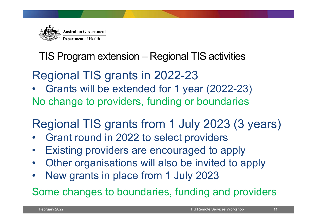

# TIS Program extension – Regional TIS activities

Regional TIS grants in 2022-23

Alternative Theorem extension – Regional TIS activities<br>
Regional TIS grants in 2022-23<br>
• Grants will be extended for 1 year (2022-23)<br>
No change to providers, funding or boundaries No change to providers, funding or boundaries TIS Program extension – Regional TIS activities<br>
Regional TIS grants in 2022-23<br>
• Grants will be extended for 1 year (2022-23)<br>
No change to providers, funding or boundaries<br>
Regional TIS grants from 1 July 2023 (3 years) • IIS Program extension – Regional TIS activities<br>
Regional TIS grants in 2022-23<br>
• Grants will be extended for 1 year (2022-23)<br>
No change to providers, funding or boundaries<br>
Regional TIS grants from 1 July 2023 (3 year **Franch Solutions Network September 1981**<br>
• Grants will be extended for 1 year (2022-23)<br>
No change to providers, funding or boundaries<br> **Regional TIS grants from 1 July 2023 (3 years)**<br>
• Grant round in 2022 to select pr • Grants will be extended for 1 year (2022-23)<br>No change to providers, funding or boundaries<br>Regional TIS grants from 1 July 2023 (3 years)<br>• Grant round in 2022 to select providers<br>• Existing providers are encouraged to a

## Federal TIS grants from 1 July 2023 (3 years)<br>
Grant round in 2022 to select providers<br>
Existing providers are encouraged to apply<br>
Other organisations will also be invited to apply<br>
New grants in place from 1 July 2023<br>
o Regional TIS grants from 1 July 2023 (3 years)

- 
- 
- 
- 

Some changes to boundaries, funding and providers